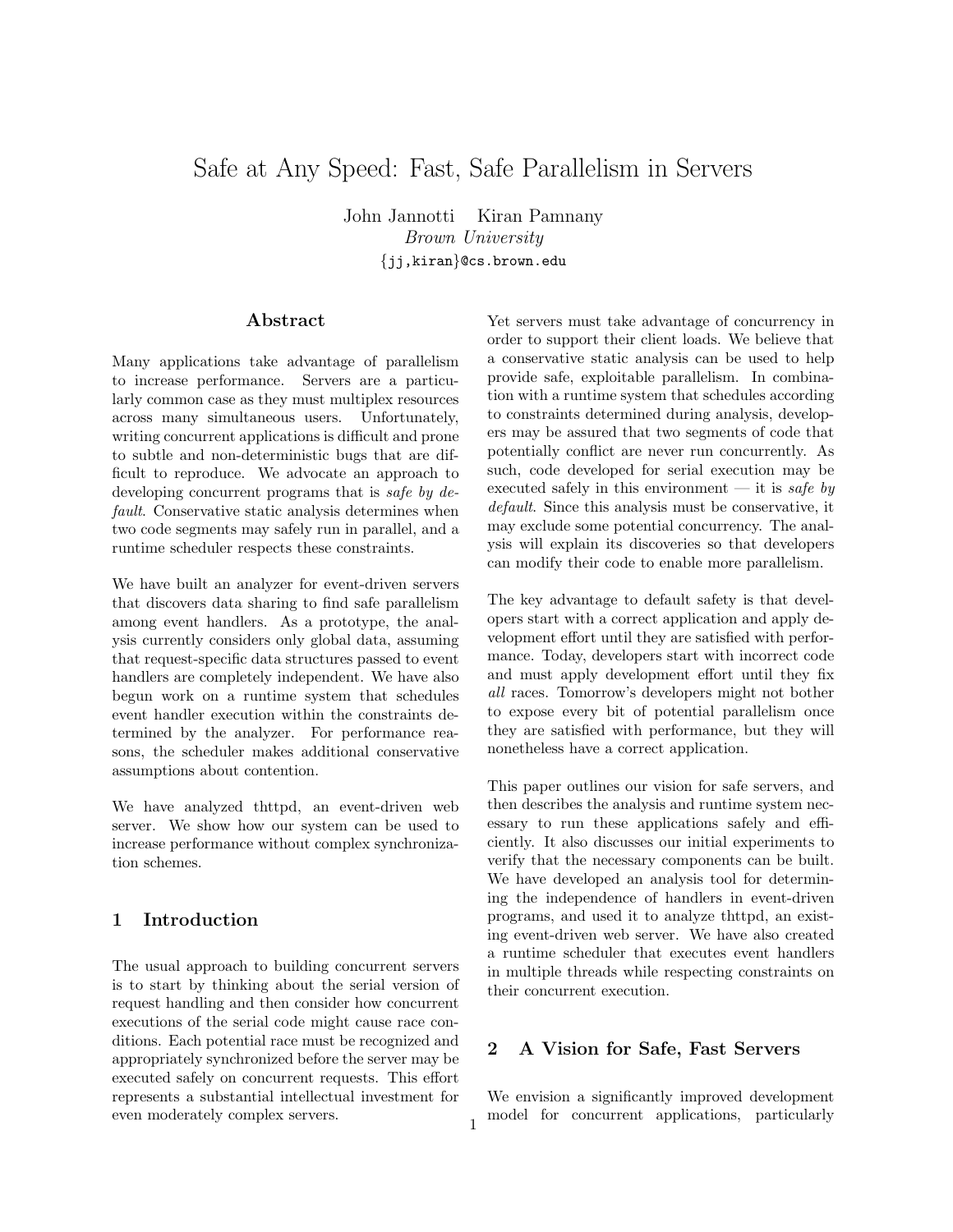# Safe at Any Speed: Fast, Safe Parallelism in Servers

John Jannotti Kiran Pamnany Brown University {jj,kiran}@cs.brown.edu

## Abstract

Many applications take advantage of parallelism to increase performance. Servers are a particularly common case as they must multiplex resources across many simultaneous users. Unfortunately, writing concurrent applications is difficult and prone to subtle and non-deterministic bugs that are difficult to reproduce. We advocate an approach to developing concurrent programs that is *safe by de*fault. Conservative static analysis determines when two code segments may safely run in parallel, and a runtime scheduler respects these constraints.

We have built an analyzer for event-driven servers that discovers data sharing to find safe parallelism among event handlers. As a prototype, the analysis currently considers only global data, assuming that request-specific data structures passed to event handlers are completely independent. We have also begun work on a runtime system that schedules event handler execution within the constraints determined by the analyzer. For performance reasons, the scheduler makes additional conservative assumptions about contention.

We have analyzed thttpd, an event-driven web server. We show how our system can be used to increase performance without complex synchronization schemes.

# 1 Introduction

The usual approach to building concurrent servers is to start by thinking about the serial version of request handling and then consider how concurrent executions of the serial code might cause race conditions. Each potential race must be recognized and appropriately synchronized before the server may be executed safely on concurrent requests. This effort represents a substantial intellectual investment for even moderately complex servers.

Yet servers must take advantage of concurrency in order to support their client loads. We believe that a conservative static analysis can be used to help provide safe, exploitable parallelism. In combination with a runtime system that schedules according to constraints determined during analysis, developers may be assured that two segments of code that potentially conflict are never run concurrently. As such, code developed for serial execution may be executed safely in this environment — it is safe by default. Since this analysis must be conservative, it may exclude some potential concurrency. The analysis will explain its discoveries so that developers can modify their code to enable more parallelism.

The key advantage to default safety is that developers start with a correct application and apply development effort until they are satisfied with performance. Today, developers start with incorrect code and must apply development effort until they fix all races. Tomorrow's developers might not bother to expose every bit of potential parallelism once they are satisfied with performance, but they will nonetheless have a correct application.

This paper outlines our vision for safe servers, and then describes the analysis and runtime system necessary to run these applications safely and efficiently. It also discusses our initial experiments to verify that the necessary components can be built. We have developed an analysis tool for determining the independence of handlers in event-driven programs, and used it to analyze thttpd, an existing event-driven web server. We have also created a runtime scheduler that executes event handlers in multiple threads while respecting constraints on their concurrent execution.

## 2 A Vision for Safe, Fast Servers

We envision a significantly improved development model for concurrent applications, particularly <sup>1</sup>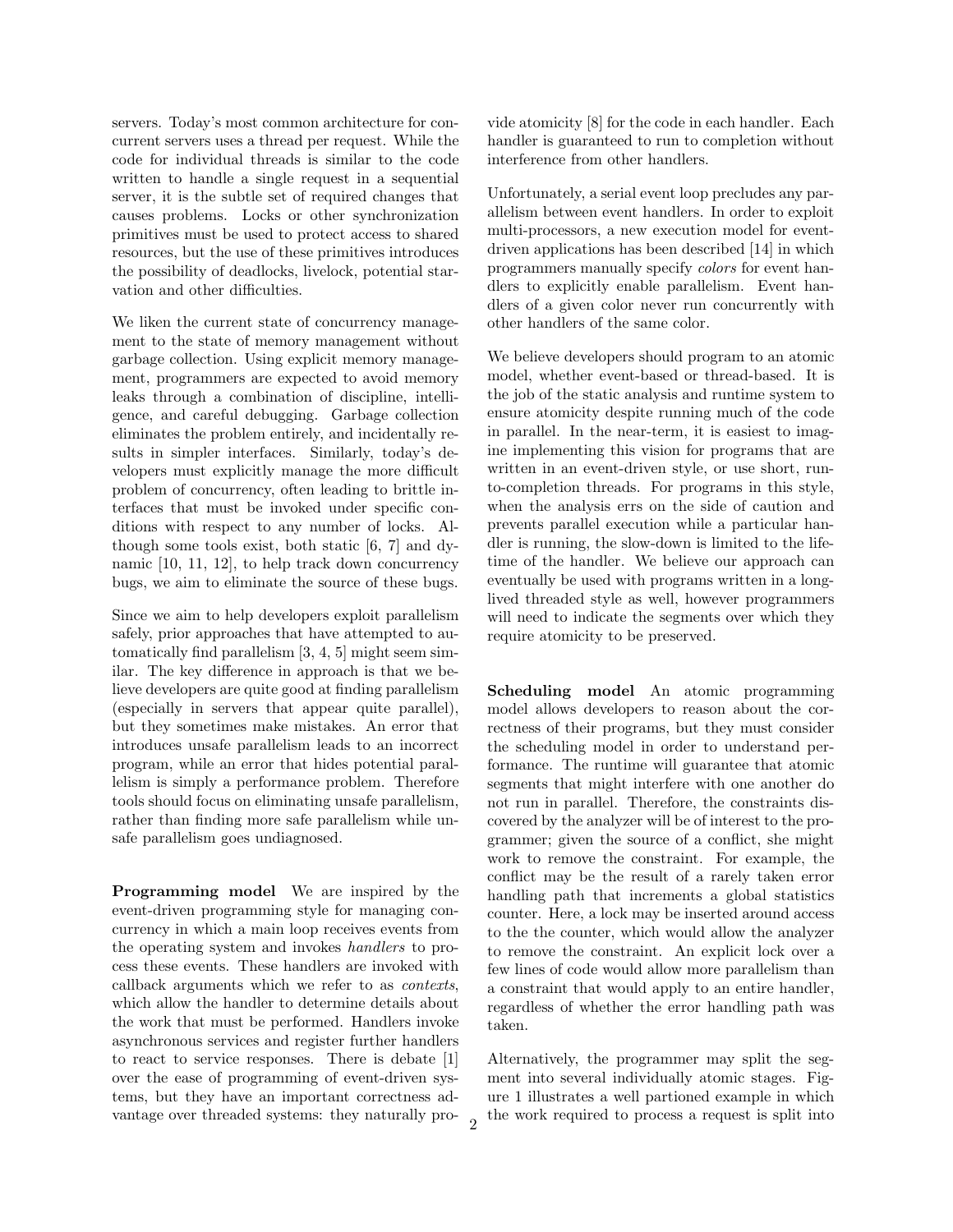servers. Today's most common architecture for concurrent servers uses a thread per request. While the code for individual threads is similar to the code written to handle a single request in a sequential server, it is the subtle set of required changes that causes problems. Locks or other synchronization primitives must be used to protect access to shared resources, but the use of these primitives introduces the possibility of deadlocks, livelock, potential starvation and other difficulties.

We liken the current state of concurrency management to the state of memory management without garbage collection. Using explicit memory management, programmers are expected to avoid memory leaks through a combination of discipline, intelligence, and careful debugging. Garbage collection eliminates the problem entirely, and incidentally results in simpler interfaces. Similarly, today's developers must explicitly manage the more difficult problem of concurrency, often leading to brittle interfaces that must be invoked under specific conditions with respect to any number of locks. Although some tools exist, both static [6, 7] and dynamic [10, 11, 12], to help track down concurrency bugs, we aim to eliminate the source of these bugs.

Since we aim to help developers exploit parallelism safely, prior approaches that have attempted to automatically find parallelism [3, 4, 5] might seem similar. The key difference in approach is that we believe developers are quite good at finding parallelism (especially in servers that appear quite parallel), but they sometimes make mistakes. An error that introduces unsafe parallelism leads to an incorrect program, while an error that hides potential parallelism is simply a performance problem. Therefore tools should focus on eliminating unsafe parallelism, rather than finding more safe parallelism while unsafe parallelism goes undiagnosed.

Programming model We are inspired by the event-driven programming style for managing concurrency in which a main loop receives events from the operating system and invokes handlers to process these events. These handlers are invoked with callback arguments which we refer to as contexts, which allow the handler to determine details about the work that must be performed. Handlers invoke asynchronous services and register further handlers to react to service responses. There is debate [1] over the ease of programming of event-driven systems, but they have an important correctness advantage over threaded systems: they naturally provide atomicity [8] for the code in each handler. Each handler is guaranteed to run to completion without interference from other handlers.

Unfortunately, a serial event loop precludes any parallelism between event handlers. In order to exploit multi-processors, a new execution model for eventdriven applications has been described [14] in which programmers manually specify colors for event handlers to explicitly enable parallelism. Event handlers of a given color never run concurrently with other handlers of the same color.

We believe developers should program to an atomic model, whether event-based or thread-based. It is the job of the static analysis and runtime system to ensure atomicity despite running much of the code in parallel. In the near-term, it is easiest to imagine implementing this vision for programs that are written in an event-driven style, or use short, runto-completion threads. For programs in this style, when the analysis errs on the side of caution and prevents parallel execution while a particular handler is running, the slow-down is limited to the lifetime of the handler. We believe our approach can eventually be used with programs written in a longlived threaded style as well, however programmers will need to indicate the segments over which they require atomicity to be preserved.

Scheduling model An atomic programming model allows developers to reason about the correctness of their programs, but they must consider the scheduling model in order to understand performance. The runtime will guarantee that atomic segments that might interfere with one another do not run in parallel. Therefore, the constraints discovered by the analyzer will be of interest to the programmer; given the source of a conflict, she might work to remove the constraint. For example, the conflict may be the result of a rarely taken error handling path that increments a global statistics counter. Here, a lock may be inserted around access to the the counter, which would allow the analyzer to remove the constraint. An explicit lock over a few lines of code would allow more parallelism than a constraint that would apply to an entire handler, regardless of whether the error handling path was taken.

Alternatively, the programmer may split the segment into several individually atomic stages. Figure 1 illustrates a well partioned example in which the work required to process a request is split into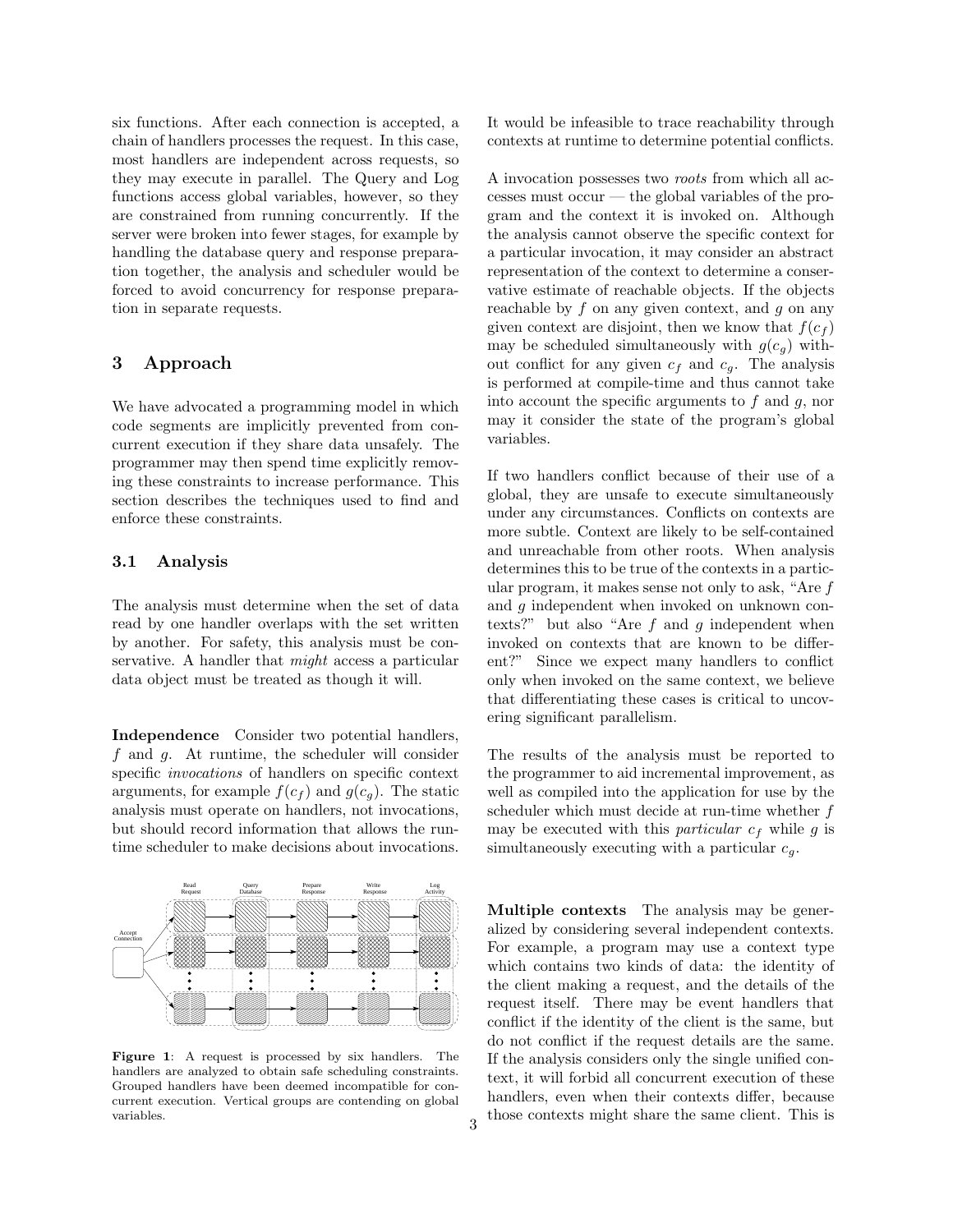six functions. After each connection is accepted, a chain of handlers processes the request. In this case, most handlers are independent across requests, so they may execute in parallel. The Query and Log functions access global variables, however, so they are constrained from running concurrently. If the server were broken into fewer stages, for example by handling the database query and response preparation together, the analysis and scheduler would be forced to avoid concurrency for response preparation in separate requests.

# 3 Approach

We have advocated a programming model in which code segments are implicitly prevented from concurrent execution if they share data unsafely. The programmer may then spend time explicitly removing these constraints to increase performance. This section describes the techniques used to find and enforce these constraints.

#### 3.1 Analysis

The analysis must determine when the set of data read by one handler overlaps with the set written by another. For safety, this analysis must be conservative. A handler that might access a particular data object must be treated as though it will.

Independence Consider two potential handlers, f and g. At runtime, the scheduler will consider specific invocations of handlers on specific context arguments, for example  $f(c_f)$  and  $g(c_q)$ . The static analysis must operate on handlers, not invocations, but should record information that allows the runtime scheduler to make decisions about invocations.



Figure 1: A request is processed by six handlers. The handlers are analyzed to obtain safe scheduling constraints. Grouped handlers have been deemed incompatible for concurrent execution. Vertical groups are contending on global variables.

It would be infeasible to trace reachability through contexts at runtime to determine potential conflicts.

A invocation possesses two roots from which all accesses must occur — the global variables of the program and the context it is invoked on. Although the analysis cannot observe the specific context for a particular invocation, it may consider an abstract representation of the context to determine a conservative estimate of reachable objects. If the objects reachable by  $f$  on any given context, and  $g$  on any given context are disjoint, then we know that  $f(c_f)$ may be scheduled simultaneously with  $g(c_q)$  without conflict for any given  $c_f$  and  $c_g$ . The analysis is performed at compile-time and thus cannot take into account the specific arguments to  $f$  and  $g$ , nor may it consider the state of the program's global variables.

If two handlers conflict because of their use of a global, they are unsafe to execute simultaneously under any circumstances. Conflicts on contexts are more subtle. Context are likely to be self-contained and unreachable from other roots. When analysis determines this to be true of the contexts in a particular program, it makes sense not only to ask, "Are f and g independent when invoked on unknown contexts?" but also "Are  $f$  and  $g$  independent when invoked on contexts that are known to be different?" Since we expect many handlers to conflict only when invoked on the same context, we believe that differentiating these cases is critical to uncovering significant parallelism.

The results of the analysis must be reported to the programmer to aid incremental improvement, as well as compiled into the application for use by the scheduler which must decide at run-time whether  $f$ may be executed with this *particular*  $c_f$  while g is simultaneously executing with a particular  $c_q$ .

Multiple contexts The analysis may be generalized by considering several independent contexts. anzed by considering several independent contexts.<br>For example, a program may use a context type which contains two kinds of data: the identity of conflict if the identity of the client is the same, but request itself. There may be event handlers that the client making a request, and the details of the do not conflict if the request details are the same. If the analysis considers only the single unified context, it will forbid all concurrent execution of these handlers, even when their contexts differ, because those contexts might share the same client. This is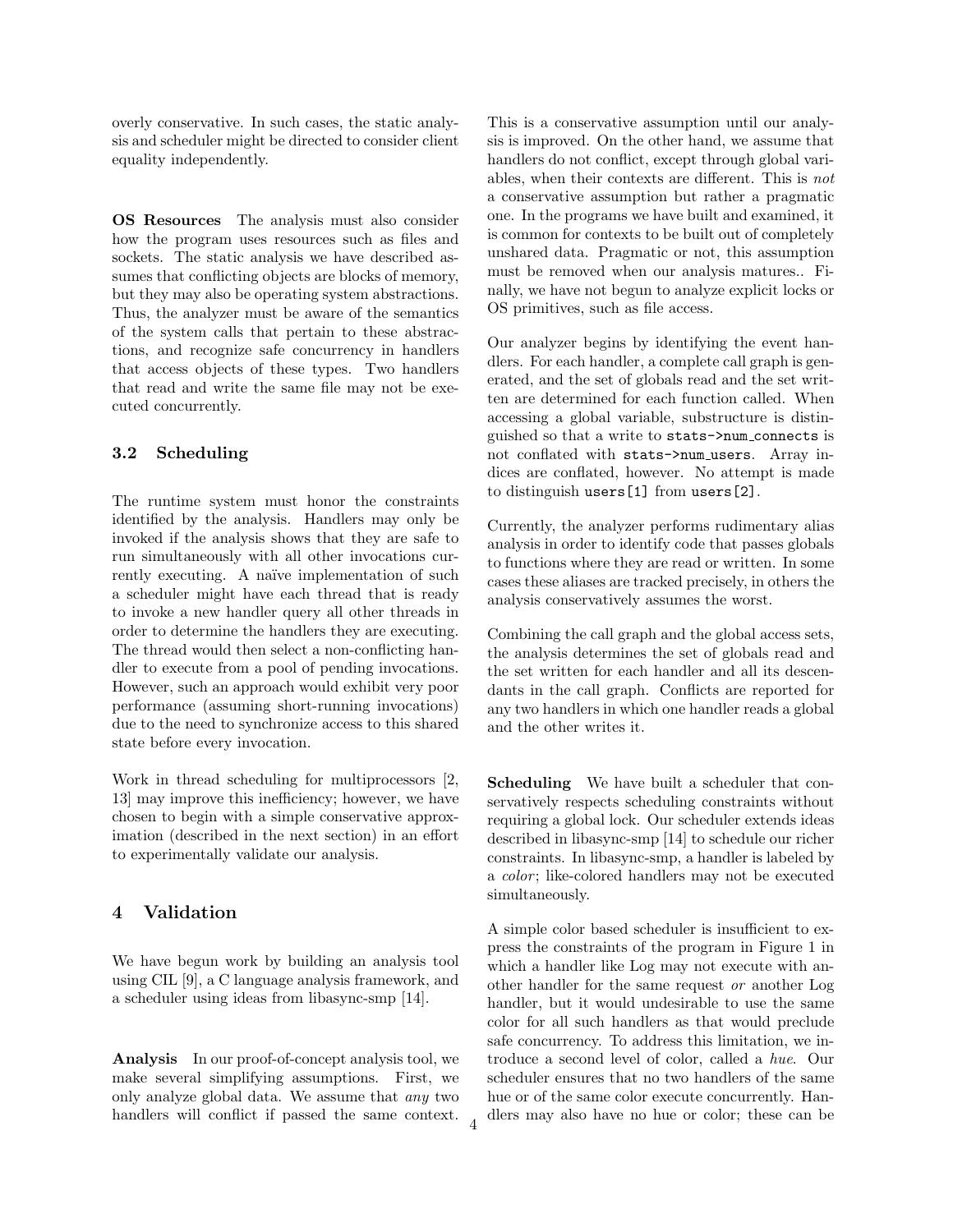overly conservative. In such cases, the static analysis and scheduler might be directed to consider client equality independently.

OS Resources The analysis must also consider how the program uses resources such as files and sockets. The static analysis we have described assumes that conflicting objects are blocks of memory, but they may also be operating system abstractions. Thus, the analyzer must be aware of the semantics of the system calls that pertain to these abstractions, and recognize safe concurrency in handlers that access objects of these types. Two handlers that read and write the same file may not be executed concurrently.

## 3.2 Scheduling

The runtime system must honor the constraints identified by the analysis. Handlers may only be invoked if the analysis shows that they are safe to run simultaneously with all other invocations currently executing. A naïve implementation of such a scheduler might have each thread that is ready to invoke a new handler query all other threads in order to determine the handlers they are executing. The thread would then select a non-conflicting handler to execute from a pool of pending invocations. However, such an approach would exhibit very poor performance (assuming short-running invocations) due to the need to synchronize access to this shared state before every invocation.

Work in thread scheduling for multiprocessors [2, 13] may improve this inefficiency; however, we have chosen to begin with a simple conservative approximation (described in the next section) in an effort to experimentally validate our analysis.

## 4 Validation

We have begun work by building an analysis tool using CIL [9], a C language analysis framework, and a scheduler using ideas from libasync-smp [14].

Analysis In our proof-of-concept analysis tool, we make several simplifying assumptions. First, we only analyze global data. We assume that any two handlers will conflict if passed the same context.

4

This is a conservative assumption until our analysis is improved. On the other hand, we assume that handlers do not conflict, except through global variables, when their contexts are different. This is not a conservative assumption but rather a pragmatic one. In the programs we have built and examined, it is common for contexts to be built out of completely unshared data. Pragmatic or not, this assumption must be removed when our analysis matures.. Finally, we have not begun to analyze explicit locks or OS primitives, such as file access.

Our analyzer begins by identifying the event handlers. For each handler, a complete call graph is generated, and the set of globals read and the set written are determined for each function called. When accessing a global variable, substructure is distinguished so that a write to stats->num connects is not conflated with stats->num\_users. Array indices are conflated, however. No attempt is made to distinguish users[1] from users[2].

Currently, the analyzer performs rudimentary alias analysis in order to identify code that passes globals to functions where they are read or written. In some cases these aliases are tracked precisely, in others the analysis conservatively assumes the worst.

Combining the call graph and the global access sets, the analysis determines the set of globals read and the set written for each handler and all its descendants in the call graph. Conflicts are reported for any two handlers in which one handler reads a global and the other writes it.

Scheduling We have built a scheduler that conservatively respects scheduling constraints without requiring a global lock. Our scheduler extends ideas described in libasync-smp [14] to schedule our richer constraints. In libasync-smp, a handler is labeled by a *color*; like-colored handlers may not be executed simultaneously.

A simple color based scheduler is insufficient to express the constraints of the program in Figure 1 in which a handler like Log may not execute with another handler for the same request or another Log handler, but it would undesirable to use the same color for all such handlers as that would preclude safe concurrency. To address this limitation, we introduce a second level of color, called a hue. Our scheduler ensures that no two handlers of the same hue or of the same color execute concurrently. Handlers may also have no hue or color; these can be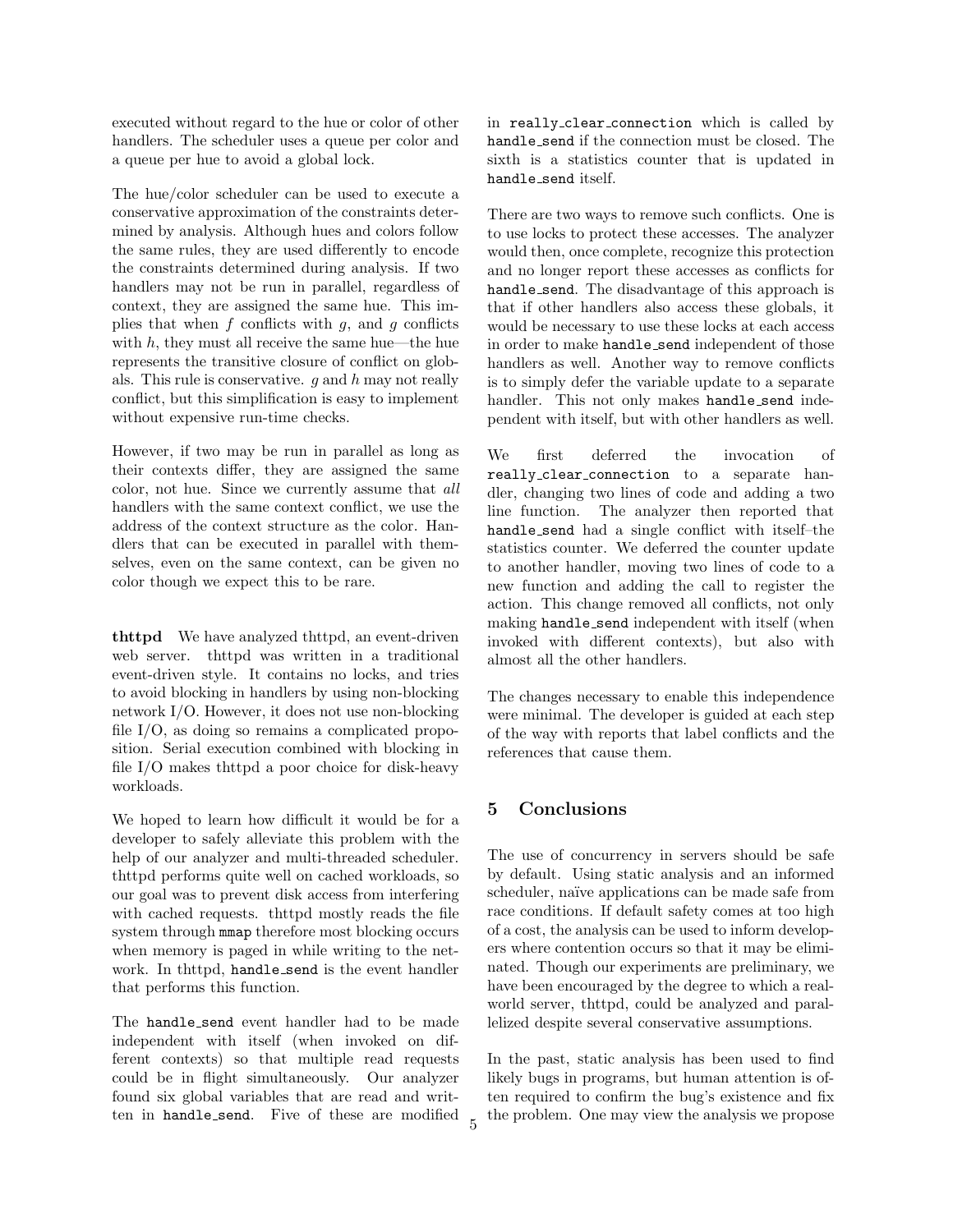executed without regard to the hue or color of other handlers. The scheduler uses a queue per color and a queue per hue to avoid a global lock.

The hue/color scheduler can be used to execute a conservative approximation of the constraints determined by analysis. Although hues and colors follow the same rules, they are used differently to encode the constraints determined during analysis. If two handlers may not be run in parallel, regardless of context, they are assigned the same hue. This implies that when  $f$  conflicts with  $g$ , and  $g$  conflicts with  $h$ , they must all receive the same hue—the hue represents the transitive closure of conflict on globals. This rule is conservative.  $g$  and  $h$  may not really conflict, but this simplification is easy to implement without expensive run-time checks.

However, if two may be run in parallel as long as their contexts differ, they are assigned the same color, not hue. Since we currently assume that all handlers with the same context conflict, we use the address of the context structure as the color. Handlers that can be executed in parallel with themselves, even on the same context, can be given no color though we expect this to be rare.

thttpd We have analyzed thttpd, an event-driven web server. thttpd was written in a traditional event-driven style. It contains no locks, and tries to avoid blocking in handlers by using non-blocking network I/O. However, it does not use non-blocking file I/O, as doing so remains a complicated proposition. Serial execution combined with blocking in file I/O makes thttpd a poor choice for disk-heavy workloads.

We hoped to learn how difficult it would be for a developer to safely alleviate this problem with the help of our analyzer and multi-threaded scheduler. thttpd performs quite well on cached workloads, so our goal was to prevent disk access from interfering with cached requests. thttpd mostly reads the file system through mmap therefore most blocking occurs when memory is paged in while writing to the network. In thttpd, handle send is the event handler that performs this function.

The handle send event handler had to be made independent with itself (when invoked on different contexts) so that multiple read requests could be in flight simultaneously. Our analyzer found six global variables that are read and written in handle send. Five of these are modified in really clear connection which is called by handle send if the connection must be closed. The sixth is a statistics counter that is updated in handle send itself.

There are two ways to remove such conflicts. One is to use locks to protect these accesses. The analyzer would then, once complete, recognize this protection and no longer report these accesses as conflicts for handle send. The disadvantage of this approach is that if other handlers also access these globals, it would be necessary to use these locks at each access in order to make handle send independent of those handlers as well. Another way to remove conflicts is to simply defer the variable update to a separate handler. This not only makes handle\_send independent with itself, but with other handlers as well.

We first deferred the invocation of really clear connection to a separate handler, changing two lines of code and adding a two line function. The analyzer then reported that handle send had a single conflict with itself–the statistics counter. We deferred the counter update to another handler, moving two lines of code to a new function and adding the call to register the action. This change removed all conflicts, not only making handle send independent with itself (when invoked with different contexts), but also with almost all the other handlers.

The changes necessary to enable this independence were minimal. The developer is guided at each step of the way with reports that label conflicts and the references that cause them.

# 5 Conclusions

The use of concurrency in servers should be safe by default. Using static analysis and an informed scheduler, naïve applications can be made safe from race conditions. If default safety comes at too high of a cost, the analysis can be used to inform developers where contention occurs so that it may be eliminated. Though our experiments are preliminary, we have been encouraged by the degree to which a realworld server, thttpd, could be analyzed and parallelized despite several conservative assumptions.

In the past, static analysis has been used to find likely bugs in programs, but human attention is often required to confirm the bug's existence and fix the problem. One may view the analysis we propose